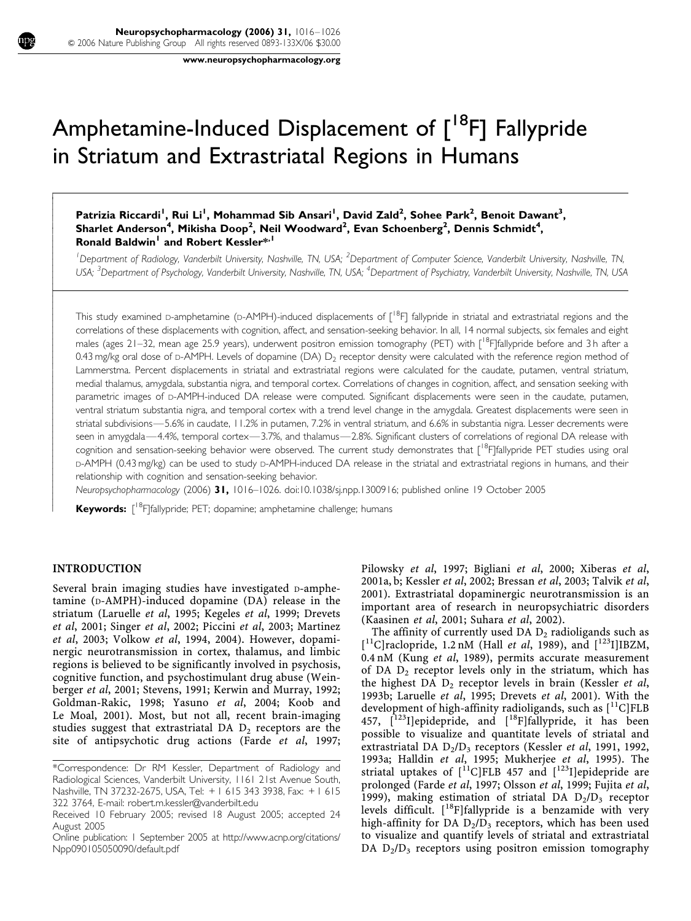www.neuropsychopharmacology.org

# Amphetamine-Induced Displacement of [<sup>18</sup>F] Fallypride in Striatum and Extrastriatal Regions in Humans

# Patrizia Riccardi<sup>I</sup>, Rui Li<sup>I</sup>, Mohammad Sib Ansari<sup>I</sup>, David Zald<sup>2</sup>, Sohee Park<sup>2</sup>, Benoit Dawant<sup>3</sup>, Sharlet Anderson<sup>4</sup>, Mikisha Doop<sup>2</sup>, Neil Woodward<sup>2</sup>, Evan Schoenberg<sup>2</sup>, Dennis Schmidt<sup>4</sup>, Ronald Baldwin<sup>1</sup> and Robert Kessler\*<sup>1</sup>

<sup>1</sup>Department of Radiology, Vanderbilt University, Nashville, TN, USA; <sup>2</sup>Department of Computer Science, Vanderbilt University, Nashville, TN, USA; <sup>3</sup>Department of Psychology, Vanderbilt University, Nashville, TN, USA; <sup>4</sup>Department of Psychiatry, Vanderbilt University, Nashville, TN, USA

This study examined D-amphetamine (D-AMPH)-induced displacements of [<sup>18</sup>F] fallypride in striatal and extrastriatal regions and the correlations of these displacements with cognition, affect, and sensation-seeking behavior. In all, 14 normal subjects, six females and eight males (ages 21–32, mean age 25.9 years), underwent positron emission tomography (PET) with  $\int_{18}^{18}F_{15}$ fallypride before and 3 h after a 0.43 mg/kg oral dose of p-AMPH. Levels of dopamine (DA)  $D<sub>2</sub>$  receptor density were calculated with the reference region method of Lammerstma. Percent displacements in striatal and extrastriatal regions were calculated for the caudate, putamen, ventral striatum, medial thalamus, amygdala, substantia nigra, and temporal cortex. Correlations of changes in cognition, affect, and sensation seeking with parametric images of D-AMPH-induced DA release were computed. Significant displacements were seen in the caudate, putamen, ventral striatum substantia nigra, and temporal cortex with a trend level change in the amygdala. Greatest displacements were seen in striatal subdivisions—5.6% in caudate, 11.2% in putamen, 7.2% in ventral striatum, and 6.6% in substantia nigra. Lesser decrements were seen in amygdala—4.4%, temporal cortex—3.7%, and thalamus—2.8%. Significant clusters of correlations of regional DA release with cognition and sensation-seeking behavior were observed. The current study demonstrates that [<sup>18</sup>F]fallypride PET studies using oral D-AMPH (0.43 mg/kg) can be used to study D-AMPH-induced DA release in the striatal and extrastriatal regions in humans, and their relationship with cognition and sensation-seeking behavior.

Neuropsychopharmacology (2006) 31, 1016–1026. doi:10.1038/sj.npp.1300916; published online 19 October 2005

Keywords: [<sup>18</sup>F]fallypride; PET; dopamine; amphetamine challenge; humans

# INTRODUCTION

ŕ ſ I I I ł

I I I I ŀ ſ

ł ł I I I ł

I I I I ł

ł I I I ł

Several brain imaging studies have investigated D-amphetamine (D-AMPH)-induced dopamine (DA) release in the striatum (Laruelle et al, 1995; Kegeles et al, 1999; Drevets et al, 2001; Singer et al, 2002; Piccini et al, 2003; Martinez et al, 2003; Volkow et al, 1994, 2004). However, dopaminergic neurotransmission in cortex, thalamus, and limbic regions is believed to be significantly involved in psychosis, cognitive function, and psychostimulant drug abuse (Weinberger et al, 2001; Stevens, 1991; Kerwin and Murray, 1992; Goldman-Rakic, 1998; Yasuno et al, 2004; Koob and Le Moal, 2001). Most, but not all, recent brain-imaging studies suggest that extrastriatal DA  $D_2$  receptors are the site of antipsychotic drug actions (Farde et al, 1997; Pilowsky et al, 1997; Bigliani et al, 2000; Xiberas et al, 2001a, b; Kessler et al, 2002; Bressan et al, 2003; Talvik et al, 2001). Extrastriatal dopaminergic neurotransmission is an important area of research in neuropsychiatric disorders (Kaasinen et al, 2001; Suhara et al, 2002).

The affinity of currently used DA  $D_2$  radioligands such as [<sup>11</sup>C]raclopride, 1.2 nM (Hall et al, 1989), and [<sup>123</sup>I]IBZM, 0.4 nM (Kung et al, 1989), permits accurate measurement of DA  $D_2$  receptor levels only in the striatum, which has the highest DA  $D_2$  receptor levels in brain (Kessler et al, 1993b; Laruelle et al, 1995; Drevets et al, 2001). With the development of high-affinity radioligands, such as  $\binom{11}{1}$ FLB 457,  $[123]$ ]epidepride, and  $[18]$ F]fallypride, it has been possible to visualize and quantitate levels of striatal and extrastriatal DA  $D_2/D_3$  receptors (Kessler et al, 1991, 1992, 1993a; Halldin et al, 1995; Mukherjee et al, 1995). The striatal uptakes of  $\int_{0}^{11}C|FLB 457$  and  $\int_{0}^{123}I|epidepiide$  are prolonged (Farde et al, 1997; Olsson et al, 1999; Fujita et al, 1999), making estimation of striatal DA  $D_2/D_3$  receptor levels difficult.  $[$ <sup>18</sup>F]fallypride is a benzamide with very high-affinity for DA  $D_2/D_3$  receptors, which has been used to visualize and quantify levels of striatal and extrastriatal DA  $D_2/D_3$  receptors using positron emission tomography

<sup>\*</sup>Correspondence: Dr RM Kessler, Department of Radiology and Radiological Sciences, Vanderbilt University, 1161 21st Avenue South, Nashville, TN 37232-2675, USA, Tel: + 1 615 343 3938, Fax: + 1 615 322 3764, E-mail: robert.m.kessler@vanderbilt.edu

Received 10 February 2005; revised 18 August 2005; accepted 24 August 2005

Online publication: 1 September 2005 at http://www.acnp.org/citations/ Npp090105050090/default.pdf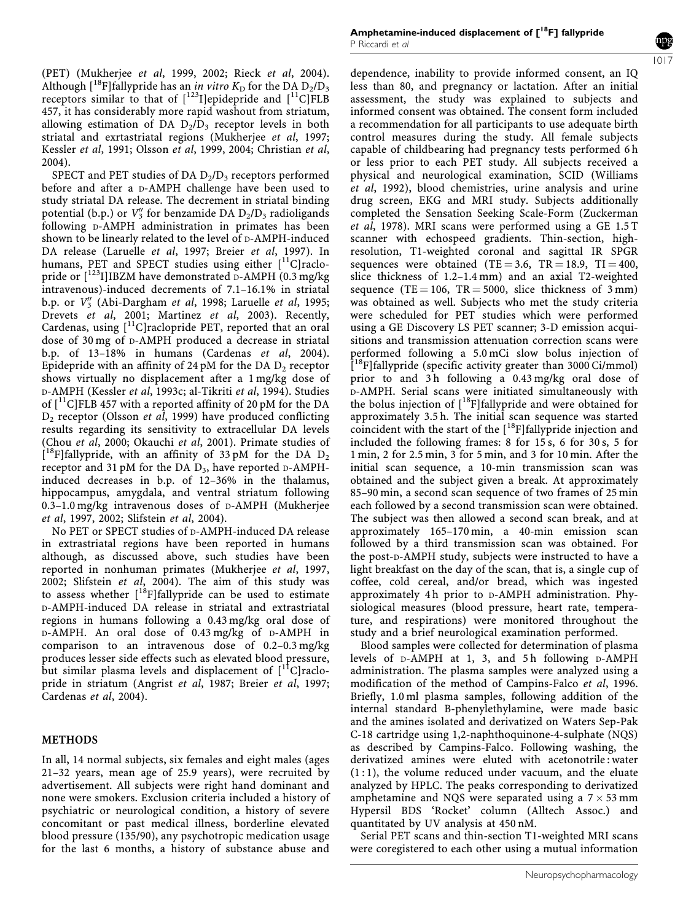(PET) (Mukherjee et al, 1999, 2002; Rieck et al, 2004). Although  $[18F]$ fallypride has an *in vitro*  $K<sub>D</sub>$  for the DA  $D<sub>2</sub>/D<sub>3</sub>$ receptors similar to that of  $[^{123}]$ epidepride and  $[^{11}C]FLB$ 457, it has considerably more rapid washout from striatum, allowing estimation of DA  $D_2/D_3$  receptor levels in both striatal and exrtastriatal regions (Mukherjee et al, 1997; Kessler et al, 1991; Olsson et al, 1999, 2004; Christian et al, 2004).

SPECT and PET studies of DA  $D_2/D_3$  receptors performed before and after a D-AMPH challenge have been used to study striatal DA release. The decrement in striatal binding potential (b.p.) or  $V_3''$  for benzamide DA  $D_2/D_3$  radioligands following D-AMPH administration in primates has been shown to be linearly related to the level of  $D$ -AMPH-induced DA release (Laruelle et al, 1997; Breier et al, 1997). In humans, PET and SPECT studies using either [<sup>11</sup>C]raclopride or  $\left[1^{123}I\right]$ IBZM have demonstrated D-AMPH (0.3 mg/kg) intravenous)-induced decrements of 7.1–16.1% in striatal b.p. or V<sup>"</sup> (Abi-Dargham et al, 1998; Laruelle et al, 1995; Drevets et al, 2001; Martinez et al, 2003). Recently, Cardenas, using  $\left[ {}^{11}$ C]raclopride PET, reported that an oral dose of 30 mg of D-AMPH produced a decrease in striatal b.p. of 13–18% in humans (Cardenas et al, 2004). Epidepride with an affinity of 24 pM for the DA  $D_2$  receptor shows virtually no displacement after a 1 mg/kg dose of D-AMPH (Kessler et al, 1993c; al-Tikriti et al, 1994). Studies of  $\lceil$ <sup>11</sup>C]FLB 457 with a reported affinity of 20 pM for the DA  $D_2$  receptor (Olsson et al, 1999) have produced conflicting results regarding its sensitivity to extracellular DA levels (Chou et al, 2000; Okauchi et al, 2001). Primate studies of  $[$ <sup>18</sup>F]fallypride, with an affinity of 33 pM for the DA  $D_2$ receptor and 31 pM for the DA  $D_3$ , have reported D-AMPHinduced decreases in b.p. of 12–36% in the thalamus, hippocampus, amygdala, and ventral striatum following 0.3–1.0 mg/kg intravenous doses of D-AMPH (Mukherjee et al, 1997, 2002; Slifstein et al, 2004).

No PET or SPECT studies of D-AMPH-induced DA release in extrastriatal regions have been reported in humans although, as discussed above, such studies have been reported in nonhuman primates (Mukherjee et al, 1997, 2002; Slifstein et al, 2004). The aim of this study was to assess whether  $\int_0^{18}$ F]fallypride can be used to estimate D-AMPH-induced DA release in striatal and extrastriatal regions in humans following a 0.43 mg/kg oral dose of D-AMPH. An oral dose of 0.43 mg/kg of D-AMPH in comparison to an intravenous dose of 0.2–0.3 mg/kg produces lesser side effects such as elevated blood pressure, but similar plasma levels and displacement of  $[{}^{11}C\rbrack$ raclopride in striatum (Angrist et al, 1987; Breier et al, 1997; Cardenas et al, 2004).

#### METHODS

In all, 14 normal subjects, six females and eight males (ages 21–32 years, mean age of 25.9 years), were recruited by advertisement. All subjects were right hand dominant and none were smokers. Exclusion criteria included a history of psychiatric or neurological condition, a history of severe concomitant or past medical illness, borderline elevated blood pressure (135/90), any psychotropic medication usage for the last 6 months, a history of substance abuse and

dependence, inability to provide informed consent, an IQ less than 80, and pregnancy or lactation. After an initial assessment, the study was explained to subjects and informed consent was obtained. The consent form included a recommendation for all participants to use adequate birth control measures during the study. All female subjects capable of childbearing had pregnancy tests performed 6 h or less prior to each PET study. All subjects received a physical and neurological examination, SCID (Williams et al, 1992), blood chemistries, urine analysis and urine drug screen, EKG and MRI study. Subjects additionally completed the Sensation Seeking Scale-Form (Zuckerman et al, 1978). MRI scans were performed using a GE 1.5 T scanner with echospeed gradients. Thin-section, highresolution, T1-weighted coronal and sagittal IR SPGR sequences were obtained (TE = 3.6, TR = 18.9, TI = 400, slice thickness of 1.2–1.4 mm) and an axial T2-weighted sequence (TE = 106, TR = 5000, slice thickness of  $3 \text{ mm}$ ) was obtained as well. Subjects who met the study criteria were scheduled for PET studies which were performed using a GE Discovery LS PET scanner; 3-D emission acquisitions and transmission attenuation correction scans were performed following a 5.0 mCi slow bolus injection of <sup>[18</sup>F]fallypride (specific activity greater than 3000 Ci/mmol) prior to and 3 h following a 0.43 mg/kg oral dose of D-AMPH. Serial scans were initiated simultaneously with the bolus injection of [<sup>18</sup>F]fallypride and were obtained for approximately 3.5 h. The initial scan sequence was started coincident with the start of the  $[18F]$ fallypride injection and included the following frames: 8 for 15 s, 6 for 30 s, 5 for 1 min, 2 for 2.5 min, 3 for 5 min, and 3 for 10 min. After the initial scan sequence, a 10-min transmission scan was obtained and the subject given a break. At approximately 85–90 min, a second scan sequence of two frames of 25 min each followed by a second transmission scan were obtained. The subject was then allowed a second scan break, and at approximately 165–170 min, a 40-min emission scan followed by a third transmission scan was obtained. For the post-D-AMPH study, subjects were instructed to have a light breakfast on the day of the scan, that is, a single cup of coffee, cold cereal, and/or bread, which was ingested approximately 4 h prior to D-AMPH administration. Physiological measures (blood pressure, heart rate, temperature, and respirations) were monitored throughout the study and a brief neurological examination performed.

Blood samples were collected for determination of plasma levels of D-AMPH at 1, 3, and 5h following D-AMPH administration. The plasma samples were analyzed using a modification of the method of Campins-Falco et al, 1996. Briefly, 1.0 ml plasma samples, following addition of the internal standard B-phenylethylamine, were made basic and the amines isolated and derivatized on Waters Sep-Pak C-18 cartridge using 1,2-naphthoquinone-4-sulphate (NQS) as described by Campins-Falco. Following washing, the derivatized amines were eluted with acetonotrile : water  $(1:1)$ , the volume reduced under vacuum, and the eluate analyzed by HPLC. The peaks corresponding to derivatized amphetamine and NOS were separated using a  $7 \times 53$  mm Hypersil BDS 'Rocket' column (Alltech Assoc.) and quantitated by UV analysis at 450 nM.

Serial PET scans and thin-section T1-weighted MRI scans were coregistered to each other using a mutual information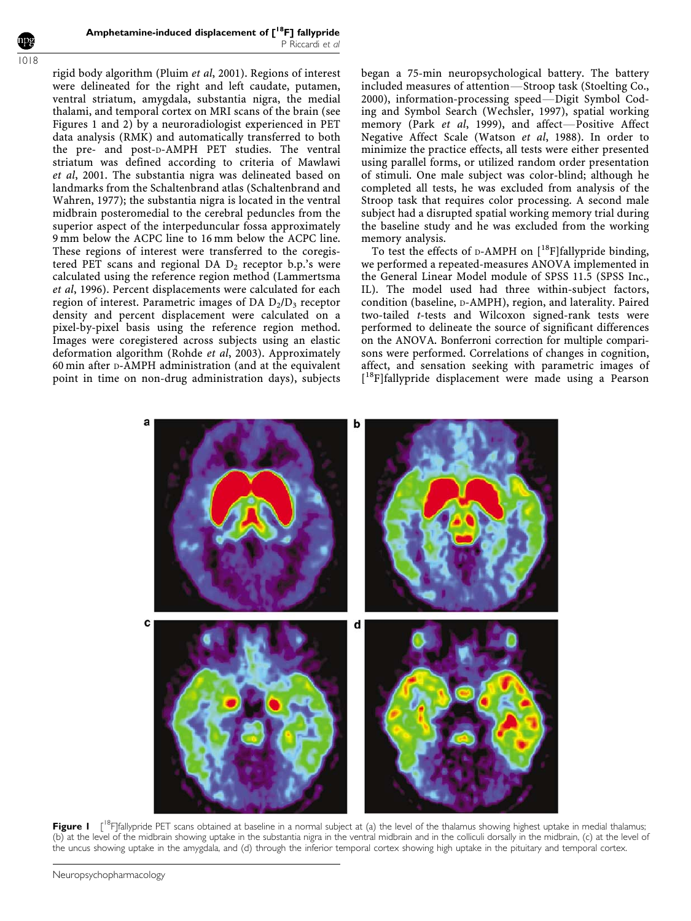Amphetamine-induced displacement of  $\lbrack$ <sup>18</sup>F] fallypride P Riccardi et al

1018

rigid body algorithm (Pluim et al, 2001). Regions of interest were delineated for the right and left caudate, putamen, ventral striatum, amygdala, substantia nigra, the medial thalami, and temporal cortex on MRI scans of the brain (see Figures 1 and 2) by a neuroradiologist experienced in PET data analysis (RMK) and automatically transferred to both the pre- and post-D-AMPH PET studies. The ventral striatum was defined according to criteria of Mawlawi et al, 2001. The substantia nigra was delineated based on landmarks from the Schaltenbrand atlas (Schaltenbrand and Wahren, 1977); the substantia nigra is located in the ventral midbrain posteromedial to the cerebral peduncles from the superior aspect of the interpeduncular fossa approximately 9 mm below the ACPC line to 16 mm below the ACPC line. These regions of interest were transferred to the coregistered PET scans and regional DA  $D_2$  receptor b.p.'s were calculated using the reference region method (Lammertsma et al, 1996). Percent displacements were calculated for each region of interest. Parametric images of DA  $D_2/D_3$  receptor density and percent displacement were calculated on a pixel-by-pixel basis using the reference region method. Images were coregistered across subjects using an elastic deformation algorithm (Rohde et al, 2003). Approximately 60 min after D-AMPH administration (and at the equivalent point in time on non-drug administration days), subjects

began a 75-min neuropsychological battery. The battery included measures of attention-Stroop task (Stoelting Co.,  $2000$ ), information-processing speed—Digit Symbol Coding and Symbol Search (Wechsler, 1997), spatial working memory (Park et al, 1999), and affect-Positive Affect Negative Affect Scale (Watson et al, 1988). In order to minimize the practice effects, all tests were either presented using parallel forms, or utilized random order presentation of stimuli. One male subject was color-blind; although he completed all tests, he was excluded from analysis of the Stroop task that requires color processing. A second male subject had a disrupted spatial working memory trial during the baseline study and he was excluded from the working memory analysis.

To test the effects of  $D$ -AMPH on  $[$ <sup>18</sup>F $]$ fallypride binding, we performed a repeated-measures ANOVA implemented in the General Linear Model module of SPSS 11.5 (SPSS Inc., IL). The model used had three within-subject factors, condition (baseline, D-AMPH), region, and laterality. Paired two-tailed t-tests and Wilcoxon signed-rank tests were performed to delineate the source of significant differences on the ANOVA. Bonferroni correction for multiple comparisons were performed. Correlations of changes in cognition, affect, and sensation seeking with parametric images of [<sup>18</sup>F]fallypride displacement were made using a Pearson



Figure I [<sup>18</sup>F]fallypride PET scans obtained at baseline in a normal subject at (a) the level of the thalamus showing highest uptake in medial thalamus; (b) at the level of the midbrain showing uptake in the substantia nigra in the ventral midbrain and in the colliculi dorsally in the midbrain, (c) at the level of the uncus showing uptake in the amygdala, and (d) through the inferior temporal cortex showing high uptake in the pituitary and temporal cortex.

Neuropsychopharmacology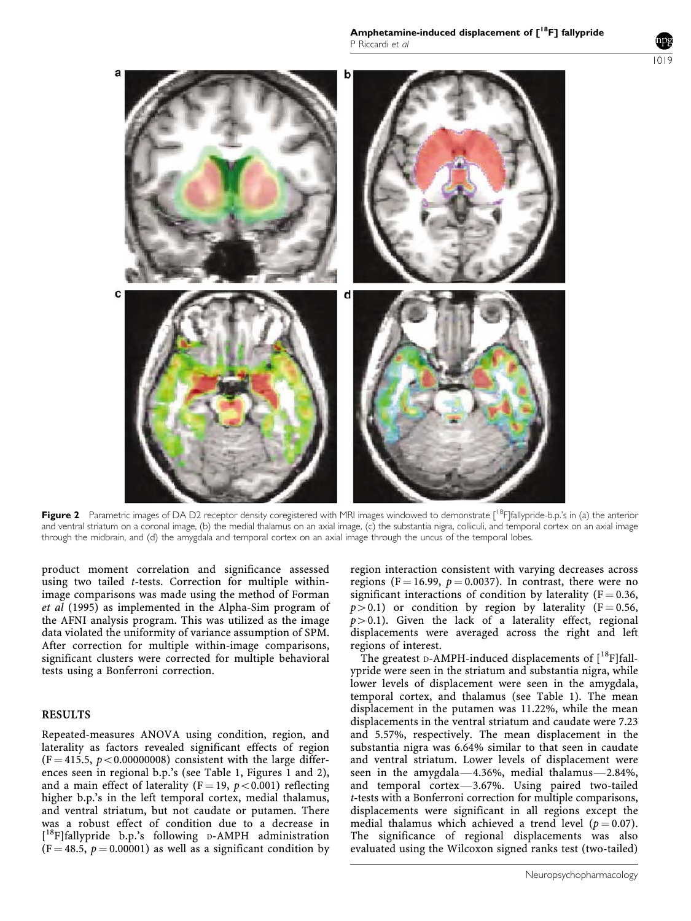Amphetamine-induced displacement of  $[{}^{18}F]$  fallypride P Riccardi et al



Figure 2 Parametric images of DA D2 receptor density coregistered with MRI images windowed to demonstrate [<sup>18</sup>F[fallypride-b.p.'s in (a) the anterior and ventral striatum on a coronal image, (b) the medial thalamus on an axial image, (c) the substantia nigra, colliculi, and temporal cortex on an axial image through the midbrain, and (d) the amygdala and temporal cortex on an axial image through the uncus of the temporal lobes.

product moment correlation and significance assessed using two tailed t-tests. Correction for multiple withinimage comparisons was made using the method of Forman et al (1995) as implemented in the Alpha-Sim program of the AFNI analysis program. This was utilized as the image data violated the uniformity of variance assumption of SPM. After correction for multiple within-image comparisons, significant clusters were corrected for multiple behavioral tests using a Bonferroni correction.

## RESULTS

Repeated-measures ANOVA using condition, region, and laterality as factors revealed significant effects of region  $(F = 415.5, p < 0.00000008)$  consistent with the large differences seen in regional b.p.'s (see Table 1, Figures 1 and 2), and a main effect of laterality ( $F = 19$ ,  $p < 0.001$ ) reflecting higher b.p.'s in the left temporal cortex, medial thalamus, and ventral striatum, but not caudate or putamen. There was a robust effect of condition due to a decrease in [<sup>18</sup>F]fallypride b.p.'s following D-AMPH administration  $(F = 48.5, p = 0.00001)$  as well as a significant condition by region interaction consistent with varying decreases across regions (F = 16.99,  $p = 0.0037$ ). In contrast, there were no significant interactions of condition by laterality ( $F = 0.36$ ,  $p > 0.1$ ) or condition by region by laterality (F = 0.56,  $p > 0.1$ ). Given the lack of a laterality effect, regional displacements were averaged across the right and left regions of interest.

The greatest D-AMPH-induced displacements of  $[{}^{18}F]$ fallypride were seen in the striatum and substantia nigra, while lower levels of displacement were seen in the amygdala, temporal cortex, and thalamus (see Table 1). The mean displacement in the putamen was 11.22%, while the mean displacements in the ventral striatum and caudate were 7.23 and 5.57%, respectively. The mean displacement in the substantia nigra was 6.64% similar to that seen in caudate and ventral striatum. Lower levels of displacement were seen in the amygdala $-4.36%$ , medial thalamus $-2.84%$ , and temporal cortex $-3.67%$ . Using paired two-tailed t-tests with a Bonferroni correction for multiple comparisons, displacements were significant in all regions except the medial thalamus which achieved a trend level ( $p = 0.07$ ). The significance of regional displacements was also evaluated using the Wilcoxon signed ranks test (two-tailed)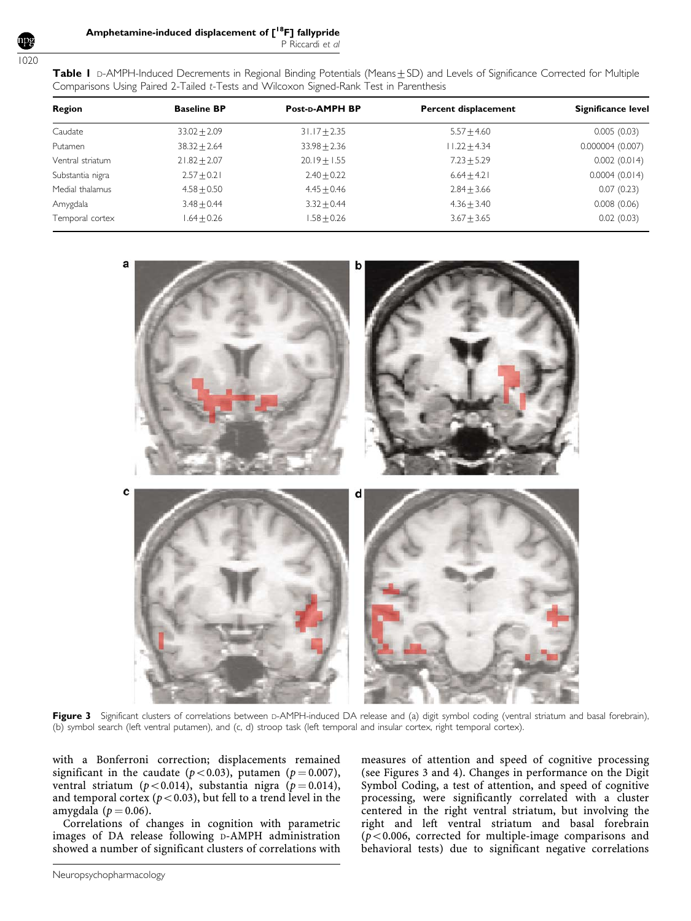1020

| Comparisons Using Paired 2-Tailed t-Tests and Wilcoxon Signed-Rank Test in Parenthesis |                    |                  |                             |                    |
|----------------------------------------------------------------------------------------|--------------------|------------------|-----------------------------|--------------------|
| Region                                                                                 | <b>Baseline BP</b> | Post-p-AMPH BP   | <b>Percent displacement</b> | Significance level |
| Caudate                                                                                | $33.02 + 2.09$     | $31.17 \pm 2.35$ | $5.57 + 4.60$               | 0.005(0.03)        |
| Putamen                                                                                | $38.32 \pm 2.64$   | $33.98 \pm 2.36$ | $11.22 + 4.34$              | 0.000004(0.007)    |
| Ventral striatum                                                                       | $21.82 \pm 2.07$   | $20.19 \pm 1.55$ | $7.23 + 5.29$               | 0.002(0.014)       |
| Substantia nigra                                                                       | $2.57 + 0.21$      | $2.40 + 0.22$    | $6.64 + 4.21$               | 0.0004(0.014)      |
| Medial thalamus                                                                        | $4.58 + 0.50$      | $4.45 + 0.46$    | $2.84 + 3.66$               | 0.07(0.23)         |
| Amygdala                                                                               | $3.48 + 0.44$      | $3.32 \pm 0.44$  | $4.36 + 3.40$               | 0.008(0.06)        |
| Temporal cortex                                                                        | $.64 + 0.26$       | $1.58 + 0.26$    | $3.67 \pm 3.65$             | 0.02(0.03)         |

Table I D-AMPH-Induced Decrements in Regional Binding Potentials (Means+SD) and Levels of Significance Corrected for Multiple

a c

Figure 3 Significant clusters of correlations between D-AMPH-induced DA release and (a) digit symbol coding (ventral striatum and basal forebrain), (b) symbol search (left ventral putamen), and (c, d) stroop task (left temporal and insular cortex, right temporal cortex).

with a Bonferroni correction; displacements remained significant in the caudate ( $p < 0.03$ ), putamen ( $p = 0.007$ ), ventral striatum ( $p < 0.014$ ), substantia nigra ( $p = 0.014$ ), and temporal cortex ( $p$ <0.03), but fell to a trend level in the amygdala ( $p = 0.06$ ).

Correlations of changes in cognition with parametric images of DA release following D-AMPH administration showed a number of significant clusters of correlations with measures of attention and speed of cognitive processing (see Figures 3 and 4). Changes in performance on the Digit Symbol Coding, a test of attention, and speed of cognitive processing, were significantly correlated with a cluster centered in the right ventral striatum, but involving the right and left ventral striatum and basal forebrain ( $p$ <0.006, corrected for multiple-image comparisons and behavioral tests) due to significant negative correlations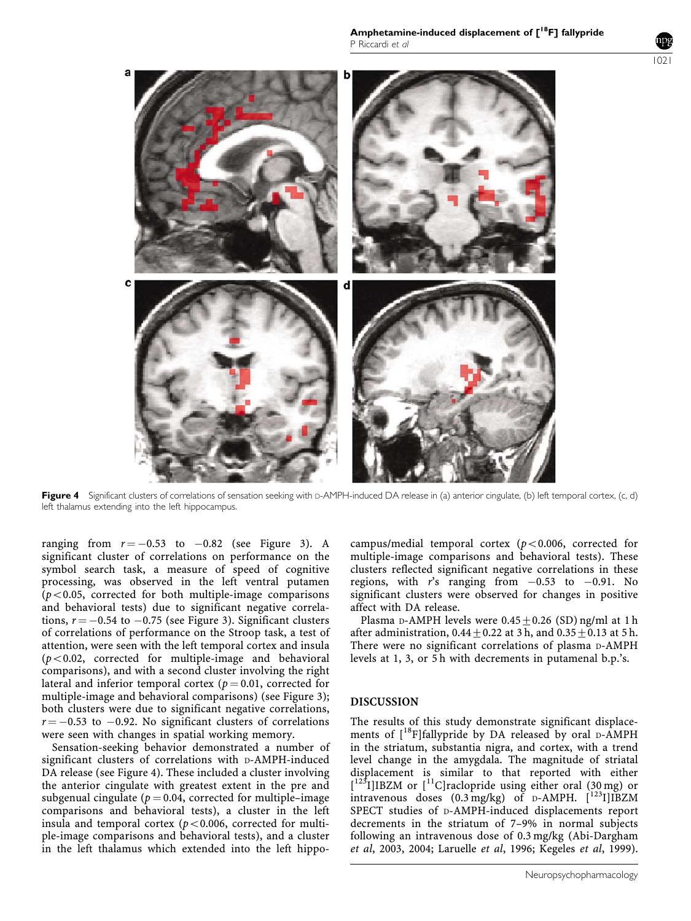1021



Figure 4 Significant clusters of correlations of sensation seeking with D-AMPH-induced DA release in (a) anterior cingulate, (b) left temporal cortex, (c, d) left thalamus extending into the left hippocampus.

ranging from  $r = -0.53$  to  $-0.82$  (see Figure 3). A significant cluster of correlations on performance on the symbol search task, a measure of speed of cognitive processing, was observed in the left ventral putamen  $(p<0.05$ , corrected for both multiple-image comparisons and behavioral tests) due to significant negative correlations,  $r = -0.54$  to  $-0.75$  (see Figure 3). Significant clusters of correlations of performance on the Stroop task, a test of attention, were seen with the left temporal cortex and insula  $(p<0.02$ , corrected for multiple-image and behavioral comparisons), and with a second cluster involving the right lateral and inferior temporal cortex ( $p = 0.01$ , corrected for multiple-image and behavioral comparisons) (see Figure 3); both clusters were due to significant negative correlations,  $r = -0.53$  to  $-0.92$ . No significant clusters of correlations were seen with changes in spatial working memory.

Sensation-seeking behavior demonstrated a number of significant clusters of correlations with D-AMPH-induced DA release (see Figure 4). These included a cluster involving the anterior cingulate with greatest extent in the pre and subgenual cingulate ( $p = 0.04$ , corrected for multiple–image comparisons and behavioral tests), a cluster in the left insula and temporal cortex ( $p < 0.006$ , corrected for multiple-image comparisons and behavioral tests), and a cluster in the left thalamus which extended into the left hippocampus/medial temporal cortex ( $p < 0.006$ , corrected for multiple-image comparisons and behavioral tests). These clusters reflected significant negative correlations in these regions, with r's ranging from  $-0.53$  to  $-0.91$ . No significant clusters were observed for changes in positive affect with DA release.

Plasma D-AMPH levels were  $0.45+0.26$  (SD) ng/ml at 1 h after administration,  $0.44+0.22$  at 3 h, and  $0.35+0.13$  at 5 h. There were no significant correlations of plasma D-AMPH levels at 1, 3, or 5 h with decrements in putamenal b.p.'s.

## DISCUSSION

The results of this study demonstrate significant displacements of  $[{}^{18}F]$ fallypride by DA released by oral D-AMPH in the striatum, substantia nigra, and cortex, with a trend level change in the amygdala. The magnitude of striatal displacement is similar to that reported with either  $[1^{23}I]$ IBZM or  $[11C]$ raclopride using either oral (30 mg) or intravenous doses  $(0.3 \text{ mg/kg})$  of D-AMPH.  $\left[\frac{123}{123}\right]$ IBZM SPECT studies of D-AMPH-induced displacements report decrements in the striatum of 7–9% in normal subjects following an intravenous dose of 0.3 mg/kg (Abi-Dargham et al, 2003, 2004; Laruelle et al, 1996; Kegeles et al, 1999).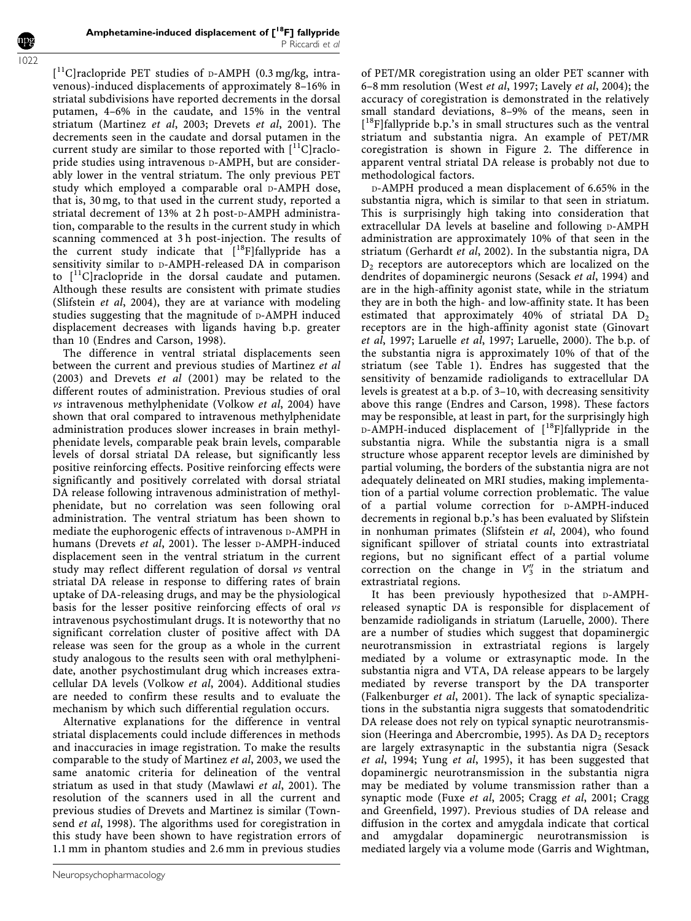[ 11C]raclopride PET studies of D-AMPH (0.3 mg/kg, intravenous)-induced displacements of approximately 8–16% in striatal subdivisions have reported decrements in the dorsal putamen, 4–6% in the caudate, and 15% in the ventral striatum (Martinez et al, 2003; Drevets et al, 2001). The decrements seen in the caudate and dorsal putamen in the current study are similar to those reported with  $\lceil$ <sup>11</sup>C]raclopride studies using intravenous D-AMPH, but are considerably lower in the ventral striatum. The only previous PET study which employed a comparable oral D-AMPH dose, that is, 30 mg, to that used in the current study, reported a striatal decrement of 13% at 2 h post-D-AMPH administration, comparable to the results in the current study in which scanning commenced at 3 h post-injection. The results of the current study indicate that [<sup>18</sup>F]fallypride has a sensitivity similar to D-AMPH-released DA in comparison to  $[$ <sup>11</sup>C]raclopride in the dorsal caudate and putamen. Although these results are consistent with primate studies (Slifstein et al, 2004), they are at variance with modeling studies suggesting that the magnitude of D-AMPH induced displacement decreases with ligands having b.p. greater than 10 (Endres and Carson, 1998).

The difference in ventral striatal displacements seen between the current and previous studies of Martinez et al (2003) and Drevets et al (2001) may be related to the different routes of administration. Previous studies of oral vs intravenous methylphenidate (Volkow et al, 2004) have shown that oral compared to intravenous methylphenidate administration produces slower increases in brain methylphenidate levels, comparable peak brain levels, comparable levels of dorsal striatal DA release, but significantly less positive reinforcing effects. Positive reinforcing effects were significantly and positively correlated with dorsal striatal DA release following intravenous administration of methylphenidate, but no correlation was seen following oral administration. The ventral striatum has been shown to mediate the euphorogenic effects of intravenous  $D-AMPH$  in humans (Drevets et al, 2001). The lesser D-AMPH-induced displacement seen in the ventral striatum in the current study may reflect different regulation of dorsal vs ventral striatal DA release in response to differing rates of brain uptake of DA-releasing drugs, and may be the physiological basis for the lesser positive reinforcing effects of oral vs intravenous psychostimulant drugs. It is noteworthy that no significant correlation cluster of positive affect with DA release was seen for the group as a whole in the current study analogous to the results seen with oral methylphenidate, another psychostimulant drug which increases extracellular DA levels (Volkow et al, 2004). Additional studies are needed to confirm these results and to evaluate the mechanism by which such differential regulation occurs.

Alternative explanations for the difference in ventral striatal displacements could include differences in methods and inaccuracies in image registration. To make the results comparable to the study of Martinez et al, 2003, we used the same anatomic criteria for delineation of the ventral striatum as used in that study (Mawlawi et al, 2001). The resolution of the scanners used in all the current and previous studies of Drevets and Martinez is similar (Townsend *et al*, 1998). The algorithms used for coregistration in this study have been shown to have registration errors of 1.1 mm in phantom studies and 2.6 mm in previous studies

Neuropsychopharmacology

of PET/MR coregistration using an older PET scanner with 6–8 mm resolution (West et al, 1997; Lavely et al, 2004); the accuracy of coregistration is demonstrated in the relatively small standard deviations, 8–9% of the means, seen in [<sup>18</sup>F]fallypride b.p.'s in small structures such as the ventral striatum and substantia nigra. An example of PET/MR coregistration is shown in Figure 2. The difference in apparent ventral striatal DA release is probably not due to methodological factors.

D-AMPH produced a mean displacement of 6.65% in the substantia nigra, which is similar to that seen in striatum. This is surprisingly high taking into consideration that extracellular DA levels at baseline and following D-AMPH administration are approximately 10% of that seen in the striatum (Gerhardt et al, 2002). In the substantia nigra, DA  $D_2$  receptors are autoreceptors which are localized on the dendrites of dopaminergic neurons (Sesack et al, 1994) and are in the high-affinity agonist state, while in the striatum they are in both the high- and low-affinity state. It has been estimated that approximately 40% of striatal DA  $D_2$ receptors are in the high-affinity agonist state (Ginovart et al, 1997; Laruelle et al, 1997; Laruelle, 2000). The b.p. of the substantia nigra is approximately 10% of that of the striatum (see Table 1). Endres has suggested that the sensitivity of benzamide radioligands to extracellular DA levels is greatest at a b.p. of 3–10, with decreasing sensitivity above this range (Endres and Carson, 1998). These factors may be responsible, at least in part, for the surprisingly high D-AMPH-induced displacement of [18F]fallypride in the substantia nigra. While the substantia nigra is a small structure whose apparent receptor levels are diminished by partial voluming, the borders of the substantia nigra are not adequately delineated on MRI studies, making implementation of a partial volume correction problematic. The value of a partial volume correction for D-AMPH-induced decrements in regional b.p.'s has been evaluated by Slifstein in nonhuman primates (Slifstein et al, 2004), who found significant spillover of striatal counts into extrastriatal regions, but no significant effect of a partial volume correction on the change in  $V_3''$  in the striatum and extrastriatal regions.

It has been previously hypothesized that D-AMPHreleased synaptic DA is responsible for displacement of benzamide radioligands in striatum (Laruelle, 2000). There are a number of studies which suggest that dopaminergic neurotransmission in extrastriatal regions is largely mediated by a volume or extrasynaptic mode. In the substantia nigra and VTA, DA release appears to be largely mediated by reverse transport by the DA transporter (Falkenburger et al, 2001). The lack of synaptic specializations in the substantia nigra suggests that somatodendritic DA release does not rely on typical synaptic neurotransmission (Heeringa and Abercrombie, 1995). As DA  $D_2$  receptors are largely extrasynaptic in the substantia nigra (Sesack et al, 1994; Yung et al, 1995), it has been suggested that dopaminergic neurotransmission in the substantia nigra may be mediated by volume transmission rather than a synaptic mode (Fuxe et al, 2005; Cragg et al, 2001; Cragg and Greenfield, 1997). Previous studies of DA release and diffusion in the cortex and amygdala indicate that cortical and amygdalar dopaminergic neurotransmission is mediated largely via a volume mode (Garris and Wightman,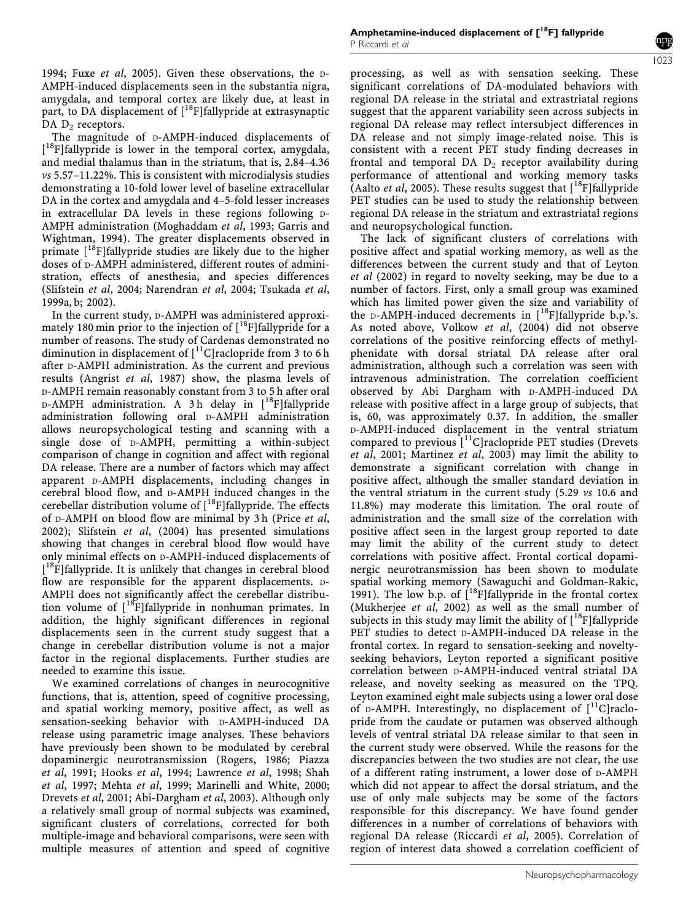1994; Fuxe et al, 2005). Given these observations, the D-AMPH-induced displacements seen in the substantia nigra, amygdala, and temporal cortex are likely due, at least in part, to DA displacement of [<sup>18</sup>F]fallypride at extrasynaptic DA  $D_2$  receptors.

The magnitude of D-AMPH-induced displacements of [<sup>18</sup>F]fallypride is lower in the temporal cortex, amygdala, and medial thalamus than in the striatum, that is, 2.84–4.36 vs 5.57–11.22%. This is consistent with microdialysis studies demonstrating a 10-fold lower level of baseline extracellular DA in the cortex and amygdala and 4–5-fold lesser increases in extracellular DA levels in these regions following D-AMPH administration (Moghaddam et al, 1993; Garris and Wightman, 1994). The greater displacements observed in primate  $[18F]$ fallypride studies are likely due to the higher doses of D-AMPH administered, different routes of administration, effects of anesthesia, and species differences (Slifstein et al, 2004; Narendran et al, 2004; Tsukada et al, 1999a, b; 2002).

In the current study, D-AMPH was administered approximately 180 min prior to the injection of  $[{}^{18}F]$ fallypride for a number of reasons. The study of Cardenas demonstrated no diminution in displacement of  $\left[ {}^{11}C\right]$ raclopride from 3 to 6 h after D-AMPH administration. As the current and previous results (Angrist et al, 1987) show, the plasma levels of D-AMPH remain reasonably constant from 3 to 5 h after oral  $D$ -AMPH administration. A 3h delay in  $[^{18}F]$ fallypride administration following oral D-AMPH administration allows neuropsychological testing and scanning with a single dose of D-AMPH, permitting a within-subject comparison of change in cognition and affect with regional DA release. There are a number of factors which may affect apparent D-AMPH displacements, including changes in cerebral blood flow, and D-AMPH induced changes in the cerebellar distribution volume of  $[{}^{18}F]$ fallypride. The effects of D-AMPH on blood flow are minimal by 3 h (Price et al, 2002); Slifstein et al, (2004) has presented simulations showing that changes in cerebral blood flow would have only minimal effects on D-AMPH-induced displacements of [<sup>18</sup>F]fallypride. It is unlikely that changes in cerebral blood flow are responsible for the apparent displacements. D-AMPH does not significantly affect the cerebellar distribution volume of  $[18F]$ fallypride in nonhuman primates. In addition, the highly significant differences in regional displacements seen in the current study suggest that a change in cerebellar distribution volume is not a major factor in the regional displacements. Further studies are needed to examine this issue.

We examined correlations of changes in neurocognitive functions, that is, attention, speed of cognitive processing, and spatial working memory, positive affect, as well as sensation-seeking behavior with D-AMPH-induced DA release using parametric image analyses. These behaviors have previously been shown to be modulated by cerebral dopaminergic neurotransmission (Rogers, 1986; Piazza et al, 1991; Hooks et al, 1994; Lawrence et al, 1998; Shah et al, 1997; Mehta et al, 1999; Marinelli and White, 2000; Drevets et al, 2001; Abi-Dargham et al, 2003). Although only a relatively small group of normal subjects was examined, significant clusters of correlations, corrected for both multiple-image and behavioral comparisons, were seen with multiple measures of attention and speed of cognitive 1023

processing, as well as with sensation seeking. These significant correlations of DA-modulated behaviors with regional DA release in the striatal and extrastriatal regions suggest that the apparent variability seen across subjects in regional DA release may reflect intersubject differences in DA release and not simply image-related noise. This is consistent with a recent PET study finding decreases in frontal and temporal DA  $D_2$  receptor availability during performance of attentional and working memory tasks (Aalto et al, 2005). These results suggest that  $[{}^{18}F]$ fallypride PET studies can be used to study the relationship between regional DA release in the striatum and extrastriatal regions and neuropsychological function.

The lack of significant clusters of correlations with positive affect and spatial working memory, as well as the differences between the current study and that of Leyton et al (2002) in regard to novelty seeking, may be due to a number of factors. First, only a small group was examined which has limited power given the size and variability of the D-AMPH-induced decrements in  $[{}^{18}F]$ fallypride b.p.'s. As noted above, Volkow et al, (2004) did not observe correlations of the positive reinforcing effects of methylphenidate with dorsal striatal DA release after oral administration, although such a correlation was seen with intravenous administration. The correlation coefficient observed by Abi Dargham with D-AMPH-induced DA release with positive affect in a large group of subjects, that is, 60, was approximately 0.37. In addition, the smaller D-AMPH-induced displacement in the ventral striatum compared to previous [11C]raclopride PET studies (Drevets et al, 2001; Martinez et al, 2003) may limit the ability to demonstrate a significant correlation with change in positive affect, although the smaller standard deviation in the ventral striatum in the current study (5.29 vs 10.6 and 11.8%) may moderate this limitation. The oral route of administration and the small size of the correlation with positive affect seen in the largest group reported to date may limit the ability of the current study to detect correlations with positive affect. Frontal cortical dopaminergic neurotransmission has been shown to modulate spatial working memory (Sawaguchi and Goldman-Rakic, 1991). The low b.p. of  $\left[ \begin{smallmatrix} 18 \\ 18 \end{smallmatrix} \right]$ fallypride in the frontal cortex (Mukherjee et al, 2002) as well as the small number of subjects in this study may limit the ability of  $[{}^{18}F]$ fallypride PET studies to detect D-AMPH-induced DA release in the frontal cortex. In regard to sensation-seeking and noveltyseeking behaviors, Leyton reported a significant positive correlation between D-AMPH-induced ventral striatal DA release, and novelty seeking as measured on the TPQ. Leyton examined eight male subjects using a lower oral dose of D-AMPH. Interestingly, no displacement of  $[$ <sup>11</sup>C]raclopride from the caudate or putamen was observed although levels of ventral striatal DA release similar to that seen in the current study were observed. While the reasons for the discrepancies between the two studies are not clear, the use of a different rating instrument, a lower dose of D-AMPH which did not appear to affect the dorsal striatum, and the use of only male subjects may be some of the factors responsible for this discrepancy. We have found gender differences in a number of correlations of behaviors with regional DA release (Riccardi et al, 2005). Correlation of region of interest data showed a correlation coefficient of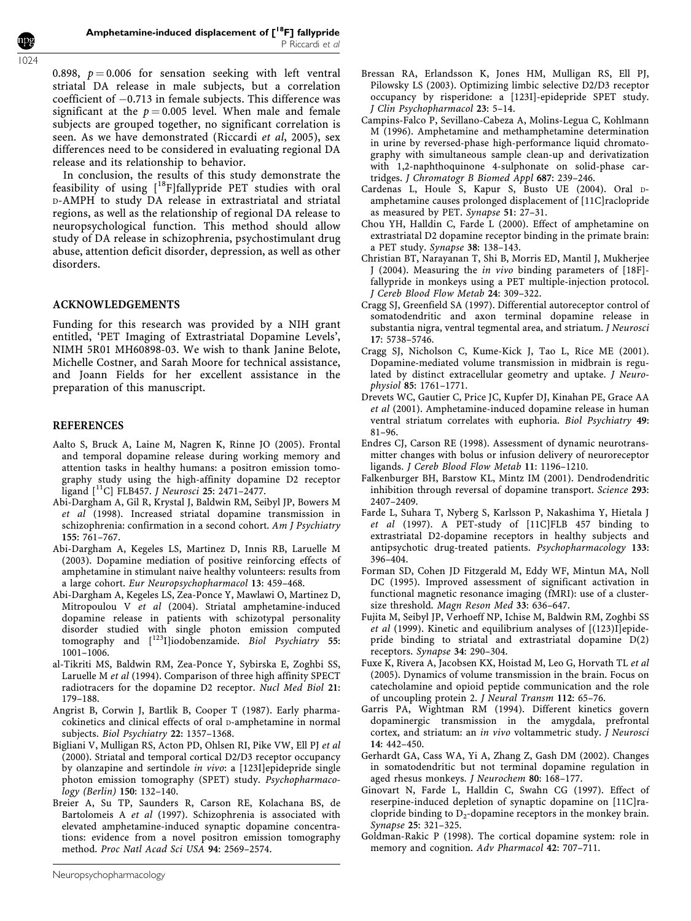0.898,  $p = 0.006$  for sensation seeking with left ventral striatal DA release in male subjects, but a correlation coefficient of  $-0.713$  in female subjects. This difference was significant at the  $p = 0.005$  level. When male and female subjects are grouped together, no significant correlation is seen. As we have demonstrated (Riccardi et al, 2005), sex differences need to be considered in evaluating regional DA release and its relationship to behavior.

In conclusion, the results of this study demonstrate the feasibility of using  $[$ <sup>18</sup>F]fallypride PET studies with oral D-AMPH to study DA release in extrastriatal and striatal regions, as well as the relationship of regional DA release to neuropsychological function. This method should allow study of DA release in schizophrenia, psychostimulant drug abuse, attention deficit disorder, depression, as well as other disorders.

## ACKNOWLEDGEMENTS

Funding for this research was provided by a NIH grant entitled, 'PET Imaging of Extrastriatal Dopamine Levels', NIMH 5R01 MH60898-03. We wish to thank Janine Belote, Michelle Costner, and Sarah Moore for technical assistance, and Joann Fields for her excellent assistance in the preparation of this manuscript.

#### REFERENCES

- Aalto S, Bruck A, Laine M, Nagren K, Rinne JO (2005). Frontal and temporal dopamine release during working memory and attention tasks in healthy humans: a positron emission tomography study using the high-affinity dopamine D2 receptor ligand [11C] FLB457. J Neurosci 25: 2471–2477.
- Abi-Dargham A, Gil R, Krystal J, Baldwin RM, Seibyl JP, Bowers M et al (1998). Increased striatal dopamine transmission in schizophrenia: confirmation in a second cohort. Am J Psychiatry 155: 761–767.
- Abi-Dargham A, Kegeles LS, Martinez D, Innis RB, Laruelle M (2003). Dopamine mediation of positive reinforcing effects of amphetamine in stimulant naive healthy volunteers: results from a large cohort. Eur Neuropsychopharmacol 13: 459–468.
- Abi-Dargham A, Kegeles LS, Zea-Ponce Y, Mawlawi O, Martinez D, Mitropoulou V et al (2004). Striatal amphetamine-induced dopamine release in patients with schizotypal personality disorder studied with single photon emission computed tomography and  $[$ <sup>123</sup>I]iodobenzamide. Biol Psychiatry 55: 1001–1006.
- al-Tikriti MS, Baldwin RM, Zea-Ponce Y, Sybirska E, Zoghbi SS, Laruelle M et al (1994). Comparison of three high affinity SPECT radiotracers for the dopamine D2 receptor. Nucl Med Biol 21: 179–188.
- Angrist B, Corwin J, Bartlik B, Cooper T (1987). Early pharmacokinetics and clinical effects of oral D-amphetamine in normal subjects. Biol Psychiatry 22: 1357–1368.
- Bigliani V, Mulligan RS, Acton PD, Ohlsen RI, Pike VW, Ell PJ et al (2000). Striatal and temporal cortical D2/D3 receptor occupancy by olanzapine and sertindole in vivo: a [123I]epidepride single photon emission tomography (SPET) study. Psychopharmacology (Berlin) 150: 132–140.
- Breier A, Su TP, Saunders R, Carson RE, Kolachana BS, de Bartolomeis A et al (1997). Schizophrenia is associated with elevated amphetamine-induced synaptic dopamine concentrations: evidence from a novel positron emission tomography method. Proc Natl Acad Sci USA 94: 2569–2574.
- Bressan RA, Erlandsson K, Jones HM, Mulligan RS, Ell PJ, Pilowsky LS (2003). Optimizing limbic selective D2/D3 receptor occupancy by risperidone: a [123I]-epidepride SPET study. J Clin Psychopharmacol 23: 5–14.
- Campins-Falco P, Sevillano-Cabeza A, Molins-Legua C, Kohlmann M (1996). Amphetamine and methamphetamine determination in urine by reversed-phase high-performance liquid chromatography with simultaneous sample clean-up and derivatization with 1,2-naphthoquinone 4-sulphonate on solid-phase cartridges. J Chromatogr B Biomed Appl 687: 239–246.
- Cardenas L, Houle S, Kapur S, Busto UE (2004). Oral Damphetamine causes prolonged displacement of [11C]raclopride as measured by PET. Synapse 51: 27–31.
- Chou YH, Halldin C, Farde L (2000). Effect of amphetamine on extrastriatal D2 dopamine receptor binding in the primate brain: a PET study. Synapse 38: 138–143.
- Christian BT, Narayanan T, Shi B, Morris ED, Mantil J, Mukherjee J (2004). Measuring the in vivo binding parameters of [18F] fallypride in monkeys using a PET multiple-injection protocol. J Cereb Blood Flow Metab 24: 309–322.
- Cragg SJ, Greenfield SA (1997). Differential autoreceptor control of somatodendritic and axon terminal dopamine release in substantia nigra, ventral tegmental area, and striatum. J Neurosci 17: 5738–5746.
- Cragg SJ, Nicholson C, Kume-Kick J, Tao L, Rice ME (2001). Dopamine-mediated volume transmission in midbrain is regulated by distinct extracellular geometry and uptake. *I Neuro*physiol 85: 1761–1771.
- Drevets WC, Gautier C, Price JC, Kupfer DJ, Kinahan PE, Grace AA et al (2001). Amphetamine-induced dopamine release in human ventral striatum correlates with euphoria. Biol Psychiatry 49: 81–96.
- Endres CJ, Carson RE (1998). Assessment of dynamic neurotransmitter changes with bolus or infusion delivery of neuroreceptor ligands. J Cereb Blood Flow Metab 11: 1196–1210.
- Falkenburger BH, Barstow KL, Mintz IM (2001). Dendrodendritic inhibition through reversal of dopamine transport. Science 293: 2407–2409.
- Farde L, Suhara T, Nyberg S, Karlsson P, Nakashima Y, Hietala J et al (1997). A PET-study of [11C]FLB 457 binding to extrastriatal D2-dopamine receptors in healthy subjects and antipsychotic drug-treated patients. Psychopharmacology 133: 396–404.
- Forman SD, Cohen JD Fitzgerald M, Eddy WF, Mintun MA, Noll DC (1995). Improved assessment of significant activation in functional magnetic resonance imaging (fMRI): use of a clustersize threshold. Magn Reson Med 33: 636–647.
- Fujita M, Seibyl JP, Verhoeff NP, Ichise M, Baldwin RM, Zoghbi SS et al (1999). Kinetic and equilibrium analyses of [(123)I]epidepride binding to striatal and extrastriatal dopamine D(2) receptors. Synapse 34: 290–304.
- Fuxe K, Rivera A, Jacobsen KX, Hoistad M, Leo G, Horvath TL et al (2005). Dynamics of volume transmission in the brain. Focus on catecholamine and opioid peptide communication and the role of uncoupling protein 2. J Neural Transm 112: 65–76.
- Garris PA, Wightman RM (1994). Different kinetics govern dopaminergic transmission in the amygdala, prefrontal cortex, and striatum: an in vivo voltammetric study. J Neurosci 14: 442–450.
- Gerhardt GA, Cass WA, Yi A, Zhang Z, Gash DM (2002). Changes in somatodendritic but not terminal dopamine regulation in aged rhesus monkeys. J Neurochem 80: 168–177.
- Ginovart N, Farde L, Halldin C, Swahn CG (1997). Effect of reserpine-induced depletion of synaptic dopamine on [11C]raclopride binding to  $D_2$ -dopamine receptors in the monkey brain. Synapse 25: 321–325.
- Goldman-Rakic P (1998). The cortical dopamine system: role in memory and cognition. Adv Pharmacol 42: 707-711.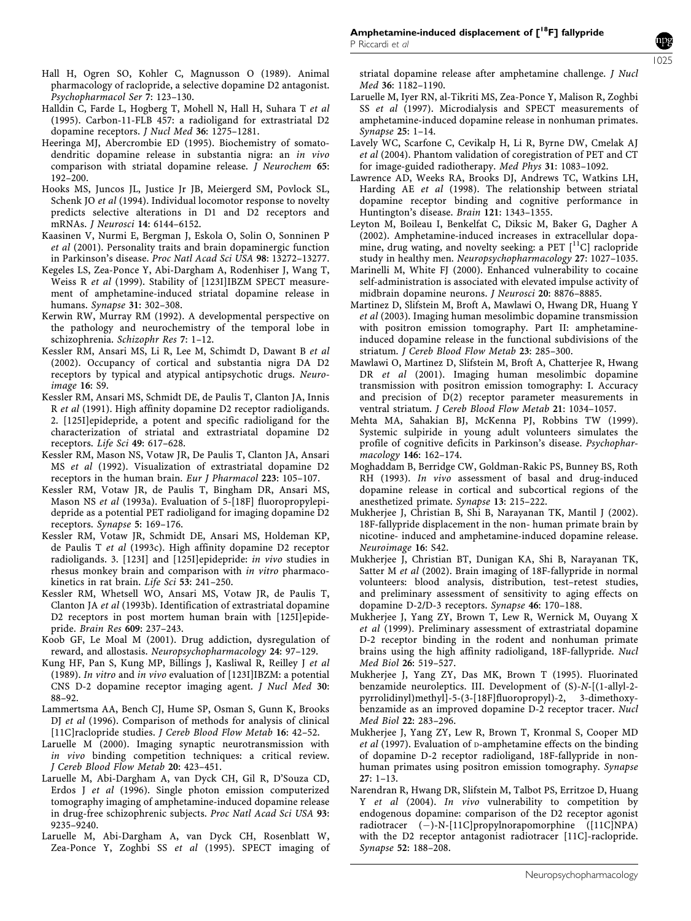- Hall H, Ogren SO, Kohler C, Magnusson O (1989). Animal pharmacology of raclopride, a selective dopamine D2 antagonist. Psychopharmacol Ser 7: 123–130.
- Halldin C, Farde L, Hogberg T, Mohell N, Hall H, Suhara T et al (1995). Carbon-11-FLB 457: a radioligand for extrastriatal D2 dopamine receptors. J Nucl Med 36: 1275–1281.
- Heeringa MJ, Abercrombie ED (1995). Biochemistry of somatodendritic dopamine release in substantia nigra: an in vivo comparison with striatal dopamine release. *J Neurochem* 65: 192–200.
- Hooks MS, Juncos JL, Justice Jr JB, Meiergerd SM, Povlock SL, Schenk JO et al (1994). Individual locomotor response to novelty predicts selective alterations in D1 and D2 receptors and mRNAs. J Neurosci 14: 6144–6152.
- Kaasinen V, Nurmi E, Bergman J, Eskola O, Solin O, Sonninen P et al (2001). Personality traits and brain dopaminergic function in Parkinson's disease. Proc Natl Acad Sci USA 98: 13272–13277.
- Kegeles LS, Zea-Ponce Y, Abi-Dargham A, Rodenhiser J, Wang T, Weiss R et al (1999). Stability of [123I]IBZM SPECT measurement of amphetamine-induced striatal dopamine release in humans. Synapse 31: 302–308.
- Kerwin RW, Murray RM (1992). A developmental perspective on the pathology and neurochemistry of the temporal lobe in schizophrenia. Schizophr Res 7: 1–12.
- Kessler RM, Ansari MS, Li R, Lee M, Schimdt D, Dawant B et al (2002). Occupancy of cortical and substantia nigra DA D2 receptors by typical and atypical antipsychotic drugs. Neuroimage 16: S9.
- Kessler RM, Ansari MS, Schmidt DE, de Paulis T, Clanton JA, Innis R et al (1991). High affinity dopamine D2 receptor radioligands. 2. [125I]epidepride, a potent and specific radioligand for the characterization of striatal and extrastriatal dopamine D2 receptors. Life Sci 49: 617–628.
- Kessler RM, Mason NS, Votaw JR, De Paulis T, Clanton JA, Ansari MS et al (1992). Visualization of extrastriatal dopamine D2 receptors in the human brain. Eur J Pharmacol 223: 105–107.
- Kessler RM, Votaw JR, de Paulis T, Bingham DR, Ansari MS, Mason NS et al (1993a). Evaluation of 5-[18F] fluoropropylepidepride as a potential PET radioligand for imaging dopamine D2 receptors. Synapse 5: 169–176.
- Kessler RM, Votaw JR, Schmidt DE, Ansari MS, Holdeman KP, de Paulis T et al (1993c). High affinity dopamine D2 receptor radioligands. 3. [123I] and [125I]epidepride: in vivo studies in rhesus monkey brain and comparison with in vitro pharmacokinetics in rat brain. Life Sci 53: 241–250.
- Kessler RM, Whetsell WO, Ansari MS, Votaw JR, de Paulis T, Clanton JA et al (1993b). Identification of extrastriatal dopamine D2 receptors in post mortem human brain with [125I]epidepride. Brain Res 609: 237–243.
- Koob GF, Le Moal M (2001). Drug addiction, dysregulation of reward, and allostasis. Neuropsychopharmacology 24: 97–129.
- Kung HF, Pan S, Kung MP, Billings J, Kasliwal R, Reilley J et al (1989). In vitro and in vivo evaluation of [123I]IBZM: a potential CNS D-2 dopamine receptor imaging agent. J Nucl Med 30: 88–92.
- Lammertsma AA, Bench CJ, Hume SP, Osman S, Gunn K, Brooks DJ et al (1996). Comparison of methods for analysis of clinical [11C]raclopride studies. *J Cereb Blood Flow Metab* 16: 42-52.
- Laruelle M (2000). Imaging synaptic neurotransmission with in vivo binding competition techniques: a critical review. J Cereb Blood Flow Metab 20: 423–451.
- Laruelle M, Abi-Dargham A, van Dyck CH, Gil R, D'Souza CD, Erdos J et al (1996). Single photon emission computerized tomography imaging of amphetamine-induced dopamine release in drug-free schizophrenic subjects. Proc Natl Acad Sci USA 93: 9235–9240.
- Laruelle M, Abi-Dargham A, van Dyck CH, Rosenblatt W, Zea-Ponce Y, Zoghbi SS et al (1995). SPECT imaging of

striatal dopamine release after amphetamine challenge. J Nucl Med 36: 1182–1190.

- Laruelle M, Iyer RN, al-Tikriti MS, Zea-Ponce Y, Malison R, Zoghbi SS et al (1997). Microdialysis and SPECT measurements of amphetamine-induced dopamine release in nonhuman primates. Synapse 25: 1–14.
- Lavely WC, Scarfone C, Cevikalp H, Li R, Byrne DW, Cmelak AJ et al (2004). Phantom validation of coregistration of PET and CT for image-guided radiotherapy. Med Phys 31: 1083–1092.
- Lawrence AD, Weeks RA, Brooks DJ, Andrews TC, Watkins LH, Harding AE et al (1998). The relationship between striatal dopamine receptor binding and cognitive performance in Huntington's disease. Brain 121: 1343–1355.
- Leyton M, Boileau I, Benkelfat C, Diksic M, Baker G, Dagher A (2002). Amphetamine-induced increases in extracellular dopamine, drug wating, and novelty seeking: a PET  $[$ <sup>11</sup>C] raclopride study in healthy men. Neuropsychopharmacology 27: 1027–1035.
- Marinelli M, White FJ (2000). Enhanced vulnerability to cocaine self-administration is associated with elevated impulse activity of midbrain dopamine neurons. J Neurosci 20: 8876–8885.
- Martinez D, Slifstein M, Broft A, Mawlawi O, Hwang DR, Huang Y et al (2003). Imaging human mesolimbic dopamine transmission with positron emission tomography. Part II: amphetamineinduced dopamine release in the functional subdivisions of the striatum. J Cereb Blood Flow Metab 23: 285–300.
- Mawlawi O, Martinez D, Slifstein M, Broft A, Chatterjee R, Hwang DR et al (2001). Imaging human mesolimbic dopamine transmission with positron emission tomography: I. Accuracy and precision of D(2) receptor parameter measurements in ventral striatum. J Cereb Blood Flow Metab 21: 1034–1057.
- Mehta MA, Sahakian BJ, McKenna PJ, Robbins TW (1999). Systemic sulpiride in young adult volunteers simulates the profile of cognitive deficits in Parkinson's disease. Psychopharmacology 146: 162–174.
- Moghaddam B, Berridge CW, Goldman-Rakic PS, Bunney BS, Roth RH (1993). In vivo assessment of basal and drug-induced dopamine release in cortical and subcortical regions of the anesthetized primate. Synapse 13: 215–222.
- Mukherjee J, Christian B, Shi B, Narayanan TK, Mantil J (2002). 18F-fallypride displacement in the non- human primate brain by nicotine- induced and amphetamine-induced dopamine release. Neuroimage 16: S42.
- Mukherjee J, Christian BT, Dunigan KA, Shi B, Narayanan TK, Satter M et al (2002). Brain imaging of 18F-fallypride in normal volunteers: blood analysis, distribution, test–retest studies, and preliminary assessment of sensitivity to aging effects on dopamine D-2/D-3 receptors. Synapse 46: 170–188.
- Mukherjee J, Yang ZY, Brown T, Lew R, Wernick M, Ouyang X et al (1999). Preliminary assessment of extrastriatal dopamine D-2 receptor binding in the rodent and nonhuman primate brains using the high affinity radioligand, 18F-fallypride. Nucl Med Biol 26: 519–527.
- Mukherjee J, Yang ZY, Das MK, Brown T (1995). Fluorinated benzamide neuroleptics. III. Development of (S)-N-[(1-allyl-2 pyrrolidinyl)methyl]-5-(3-[18F]fluoropropyl)-2, 3-dimethoxybenzamide as an improved dopamine D-2 receptor tracer. Nucl Med Biol 22: 283–296.
- Mukherjee J, Yang ZY, Lew R, Brown T, Kronmal S, Cooper MD et al (1997). Evaluation of **D-amphetamine** effects on the binding of dopamine D-2 receptor radioligand, 18F-fallypride in nonhuman primates using positron emission tomography. Synapse 27: 1–13.
- Narendran R, Hwang DR, Slifstein M, Talbot PS, Erritzoe D, Huang Y et al (2004). In vivo vulnerability to competition by endogenous dopamine: comparison of the D2 receptor agonist radiotracer  $(-)$ -N-[11C]propylnorapomorphine  $([11C]NPA)$ with the D2 receptor antagonist radiotracer [11C]-raclopride. Synapse 52: 188–208.